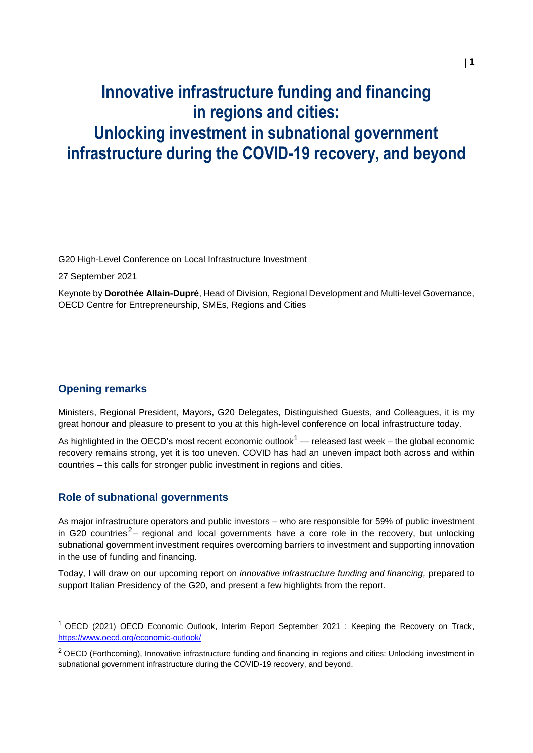# **Innovative infrastructure funding and financing in regions and cities: Unlocking investment in subnational government infrastructure during the COVID-19 recovery, and beyond**

G20 High-Level Conference on Local Infrastructure Investment

27 September 2021

Keynote by **Dorothée Allain-Dupré**, Head of Division, Regional Development and Multi-level Governance, OECD Centre for Entrepreneurship, SMEs, Regions and Cities

### **Opening remarks**

Ministers, Regional President, Mayors, G20 Delegates, Distinguished Guests, and Colleagues, it is my great honour and pleasure to present to you at this high-level conference on local infrastructure today.

As highlighted in the OECD's most recent economic outlook<sup>1</sup> — released last week – the global economic recovery remains strong, yet it is too uneven. COVID has had an uneven impact both across and within countries – this calls for stronger public investment in regions and cities.

#### **Role of subnational governments**

As major infrastructure operators and public investors – who are responsible for 59% of public investment in G20 countries<sup>2</sup>– regional and local governments have a core role in the recovery, but unlocking subnational government investment requires overcoming barriers to investment and supporting innovation in the use of funding and financing.

Today, I will draw on our upcoming report on *innovative infrastructure funding and financing,* prepared to support Italian Presidency of the G20, and present a few highlights from the report.

<sup>1</sup> OECD (2021) OECD Economic Outlook, Interim Report September 2021 : Keeping the Recovery on Track, <https://www.oecd.org/economic-outlook/>

<sup>&</sup>lt;sup>2</sup> OECD (Forthcoming), Innovative infrastructure funding and financing in regions and cities: Unlocking investment in subnational government infrastructure during the COVID-19 recovery, and beyond.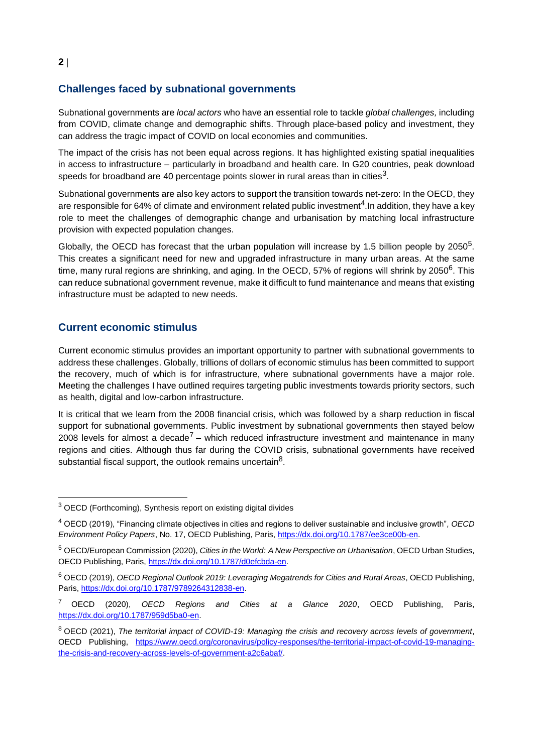## **Challenges faced by subnational governments**

Subnational governments are *local actors* who have an essential role to tackle *global challenges,* including from COVID, climate change and demographic shifts. Through place-based policy and investment, they can address the tragic impact of COVID on local economies and communities.

The impact of the crisis has not been equal across regions. It has highlighted existing spatial inequalities in access to infrastructure – particularly in broadband and health care. In G20 countries, peak download speeds for broadband are 40 percentage points slower in rural areas than in cities $^3\!$ 

Subnational governments are also key actors to support the transition towards net-zero: In the OECD, they are responsible for 64% of climate and environment related public investment<sup>4</sup>. In addition, they have a key role to meet the challenges of demographic change and urbanisation by matching local infrastructure provision with expected population changes.

Globally, the OECD has forecast that the urban population will increase by 1.5 billion people by 2050 $5$ . This creates a significant need for new and upgraded infrastructure in many urban areas. At the same time, many rural regions are shrinking, and aging. In the OECD, 57% of regions will shrink by 2050<sup>6</sup>. This can reduce subnational government revenue, make it difficult to fund maintenance and means that existing infrastructure must be adapted to new needs.

#### **Current economic stimulus**

Current economic stimulus provides an important opportunity to partner with subnational governments to address these challenges. Globally, trillions of dollars of economic stimulus has been committed to support the recovery, much of which is for infrastructure, where subnational governments have a major role. Meeting the challenges I have outlined requires targeting public investments towards priority sectors, such as health, digital and low-carbon infrastructure.

It is critical that we learn from the 2008 financial crisis, which was followed by a sharp reduction in fiscal support for subnational governments. Public investment by subnational governments then stayed below 2008 levels for almost a decade<sup>7</sup> – which reduced infrastructure investment and maintenance in many regions and cities. Although thus far during the COVID crisis, subnational governments have received substantial fiscal support, the outlook remains uncertain $8$ .

 $3$  OECD (Forthcoming), Synthesis report on existing digital divides

<sup>4</sup> OECD (2019), "Financing climate objectives in cities and regions to deliver sustainable and inclusive growth"*, OECD Environment Policy Papers*, No. 17, OECD Publishing, Paris, https://dx.doi.org/10.1787/ee3ce00b-en.

<sup>5</sup> OECD/European Commission (2020), *Cities in the World: A New Perspective on Urbanisation*, OECD Urban Studies, OECD Publishing, Paris, https://dx.doi.org/10.1787/d0efcbda-en.

<sup>6</sup> OECD (2019), *OECD Regional Outlook 2019: Leveraging Megatrends for Cities and Rural Areas*, OECD Publishing, Paris, https://dx.doi.org/10.1787/9789264312838-en.

<sup>7</sup> OECD (2020), *OECD Regions and Cities at a Glance 2020*, OECD Publishing, Paris, https://dx.doi.org/10.1787/959d5ba0-en.

<sup>8</sup> OECD (2021), *The territorial impact of COVID-19: Managing the crisis and recovery across levels of government*, OECD Publishing, https://www.oecd.org/coronavirus/policy-responses/the-territorial-impact-of-covid-19-managingthe-crisis-and-recovery-across-levels-of-government-a2c6abaf/.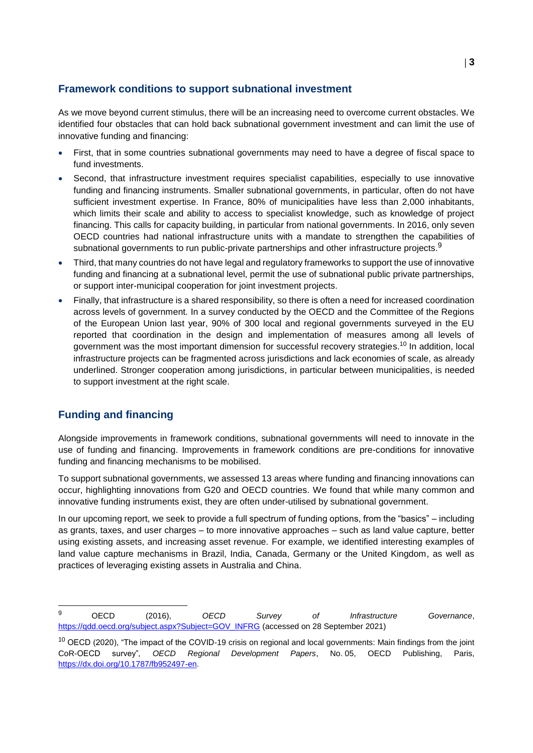## **Framework conditions to support subnational investment**

As we move beyond current stimulus, there will be an increasing need to overcome current obstacles. We identified four obstacles that can hold back subnational government investment and can limit the use of innovative funding and financing:

- First, that in some countries subnational governments may need to have a degree of fiscal space to fund investments.
- Second, that infrastructure investment requires specialist capabilities, especially to use innovative funding and financing instruments. Smaller subnational governments, in particular, often do not have sufficient investment expertise. In France, 80% of municipalities have less than 2,000 inhabitants, which limits their scale and ability to access to specialist knowledge, such as knowledge of project financing. This calls for capacity building, in particular from national governments. In 2016, only seven OECD countries had national infrastructure units with a mandate to strengthen the capabilities of subnational governments to run public-private partnerships and other infrastructure projects. $^9$
- Third, that many countries do not have legal and regulatory frameworks to support the use of innovative funding and financing at a subnational level, permit the use of subnational public private partnerships, or support inter-municipal cooperation for joint investment projects.
- Finally, that infrastructure is a shared responsibility, so there is often a need for increased coordination across levels of government. In a survey conducted by the OECD and the Committee of the Regions of the European Union last year, 90% of 300 local and regional governments surveyed in the EU reported that coordination in the design and implementation of measures among all levels of government was the most important dimension for successful recovery strategies.<sup>10</sup> In addition, local infrastructure projects can be fragmented across jurisdictions and lack economies of scale, as already underlined. Stronger cooperation among jurisdictions, in particular between municipalities, is needed to support investment at the right scale.

## **Funding and financing**

Alongside improvements in framework conditions, subnational governments will need to innovate in the use of funding and financing. Improvements in framework conditions are pre-conditions for innovative funding and financing mechanisms to be mobilised.

To support subnational governments, we assessed 13 areas where funding and financing innovations can occur, highlighting innovations from G20 and OECD countries. We found that while many common and innovative funding instruments exist, they are often under-utilised by subnational government.

In our upcoming report, we seek to provide a full spectrum of funding options, from the "basics" – including as grants, taxes, and user charges – to more innovative approaches – such as land value capture, better using existing assets, and increasing asset revenue. For example, we identified interesting examples of land value capture mechanisms in Brazil, India, Canada, Germany or the United Kingdom, as well as practices of leveraging existing assets in Australia and China.

 $\mathbf{q}$ <sup>9</sup> OECD (2016), *OECD Survey of Infrastructure Governance*, https://qdd.oecd.org/subject.aspx?Subject=GOV\_INFRG (accessed on 28 September 2021)

<sup>&</sup>lt;sup>10</sup> OECD (2020), "The impact of the COVID-19 crisis on regional and local governments: Main findings from the joint CoR-OECD survey"*, OECD Regional Development Papers*, No. 05, OECD Publishing, Paris, https://dx.doi.org/10.1787/fb952497-en.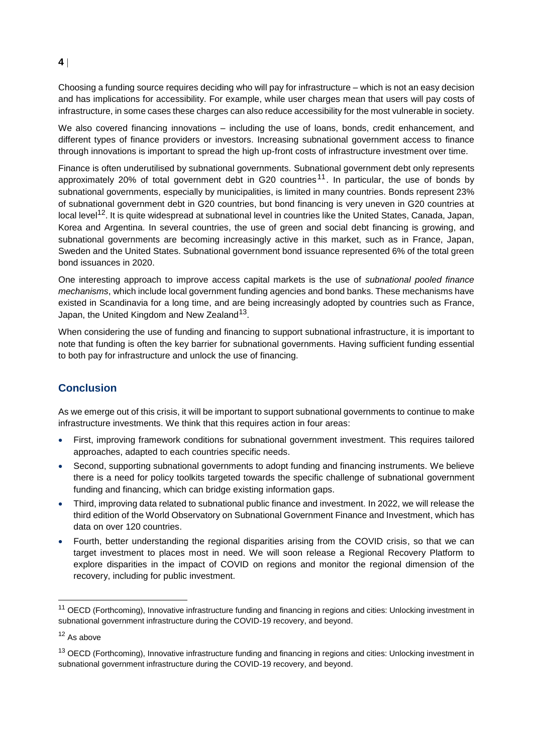## **4**

Choosing a funding source requires deciding who will pay for infrastructure – which is not an easy decision and has implications for accessibility. For example, while user charges mean that users will pay costs of infrastructure, in some cases these charges can also reduce accessibility for the most vulnerable in society.

We also covered financing innovations – including the use of loans, bonds, credit enhancement, and different types of finance providers or investors. Increasing subnational government access to finance through innovations is important to spread the high up-front costs of infrastructure investment over time.

Finance is often underutilised by subnational governments. Subnational government debt only represents approximately 20% of total government debt in G20 countries<sup>11</sup>. In particular, the use of bonds by subnational governments, especially by municipalities, is limited in many countries. Bonds represent 23% of subnational government debt in G20 countries, but bond financing is very uneven in G20 countries at local level<sup>12</sup>. It is quite widespread at subnational level in countries like the United States, Canada, Japan, Korea and Argentina. In several countries, the use of green and social debt financing is growing, and subnational governments are becoming increasingly active in this market, such as in France, Japan, Sweden and the United States. Subnational government bond issuance represented 6% of the total green bond issuances in 2020.

One interesting approach to improve access capital markets is the use of *subnational pooled finance mechanisms*, which include local government funding agencies and bond banks. These mechanisms have existed in Scandinavia for a long time, and are being increasingly adopted by countries such as France, Japan, the United Kingdom and New Zealand<sup>13</sup>.

When considering the use of funding and financing to support subnational infrastructure, it is important to note that funding is often the key barrier for subnational governments. Having sufficient funding essential to both pay for infrastructure and unlock the use of financing.

## **Conclusion**

As we emerge out of this crisis, it will be important to support subnational governments to continue to make infrastructure investments. We think that this requires action in four areas:

- First, improving framework conditions for subnational government investment. This requires tailored approaches, adapted to each countries specific needs.
- Second, supporting subnational governments to adopt funding and financing instruments. We believe there is a need for policy toolkits targeted towards the specific challenge of subnational government funding and financing, which can bridge existing information gaps.
- Third, improving data related to subnational public finance and investment. In 2022, we will release the third edition of the World Observatory on Subnational Government Finance and Investment, which has data on over 120 countries.
- Fourth, better understanding the regional disparities arising from the COVID crisis, so that we can target investment to places most in need. We will soon release a Regional Recovery Platform to explore disparities in the impact of COVID on regions and monitor the regional dimension of the recovery, including for public investment.

<sup>&</sup>lt;sup>11</sup> OECD (Forthcoming), Innovative infrastructure funding and financing in regions and cities: Unlocking investment in subnational government infrastructure during the COVID-19 recovery, and beyond.

<sup>12</sup> As above

<sup>&</sup>lt;sup>13</sup> OECD (Forthcoming), Innovative infrastructure funding and financing in regions and cities: Unlocking investment in subnational government infrastructure during the COVID-19 recovery, and beyond.